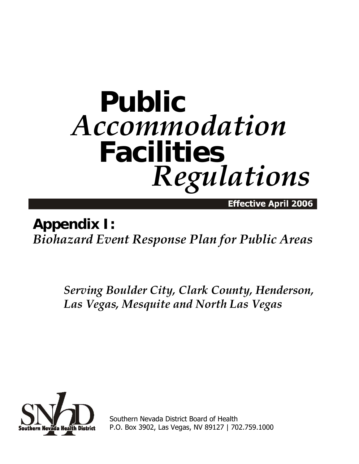# **Public** *Accommodation* **Facilities** *Regulations*

Effective April 2006

## **Appendix I:**  *Biohazard Event Response Plan for Public Areas*

*Serving Boulder City, Clark County, Henderson, Las Vegas, Mesquite and North Las Vegas*



Southern Nevada District Board of Health P.O. Box 3902, Las Vegas, NV 89127 | 702.759.1000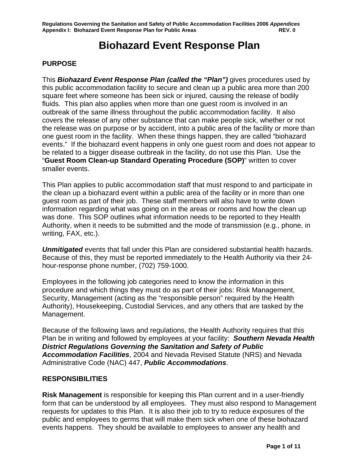### **Biohazard Event Response Plan**

#### **PURPOSE**

This *Biohazard Event Response Plan (called the "Plan")* gives procedures used by this public accommodation facility to secure and clean up a public area more than 200 square feet where someone has been sick or injured, causing the release of bodily fluids. This plan also applies when more than one guest room is involved in an outbreak of the same illness throughout the public accommodation facility. It also covers the release of any other substance that can make people sick, whether or not the release was on purpose or by accident, into a public area of the facility or more than one guest room in the facility. When these things happen, they are called "biohazard events." If the biohazard event happens in only one guest room and does not appear to be related to a bigger disease outbreak in the facility, do not use this Plan. Use the "**Guest Room Clean-up Standard Operating Procedure (SOP)**" written to cover smaller events.

This Plan applies to public accommodation staff that must respond to and participate in the clean up a biohazard event within a public area of the facility or in more than one guest room as part of their job. These staff members will also have to write down information regarding what was going on in the areas or rooms and how the clean up was done. This SOP outlines what information needs to be reported to they Health Authority, when it needs to be submitted and the mode of transmission (e.g., phone, in writing, FAX, etc.).

*Unmitigated* events that fall under this Plan are considered substantial health hazards. Because of this, they must be reported immediately to the Health Authority via their 24 hour-response phone number, (702) 759-1000.

Employees in the following job categories need to know the information in this procedure and which things they must do as part of their jobs: Risk Management, Security, Management (acting as the "responsible person" required by the Health Authority), Housekeeping, Custodial Services, and any others that are tasked by the Management.

Because of the following laws and regulations, the Health Authority requires that this Plan be in writing and followed by employees at your facility: *Southern Nevada Health District Regulations Governing the Sanitation and Safety of Public Accommodation Facilities*, 2004 and Nevada Revised Statute (NRS) and Nevada Administrative Code (NAC) 447, *Public Accommodations*.

#### **RESPONSIBILITIES**

**Risk Management** is responsible for keeping this Plan current and in a user-friendly form that can be understood by all employees. They must also respond to Management requests for updates to this Plan. It is also their job to try to reduce exposures of the public and employees to germs that will make them sick when one of these biohazard events happens.They should be available to employees to answer any health and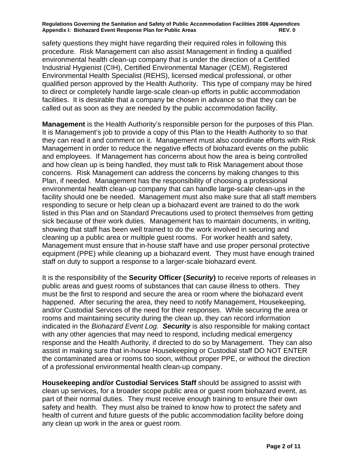**Regulations Governing the Sanitation and Safety of Public Accommodation Facilities 2006** *Appendices* Appendix I: Biohazard Event Response Plan for Public Areas **REV. 0** REV. 0

safety questions they might have regarding their required roles in following this procedure. Risk Management can also assist Management in finding a qualified environmental health clean-up company that is under the direction of a Certified Industrial Hygienist (CIH), Certified Environmental Manager (CEM), Registered Environmental Health Specialist (REHS), licensed medical professional, or other qualified person approved by the Health Authority. This type of company may be hired to direct or completely handle large-scale clean-up efforts in public accommodation facilities. It is desirable that a company be chosen in advance so that they can be called out as soon as they are needed by the public accommodation facility.

**Management** is the Health Authority's responsible person for the purposes of this Plan. It is Management's job to provide a copy of this Plan to the Health Authority to so that they can read it and comment on it. Management must also coordinate efforts with Risk Management in order to reduce the negative effects of biohazard events on the public and employees. If Management has concerns about how the area is being controlled and how clean up is being handled, they must talk to Risk Management about those concerns. Risk Management can address the concerns by making changes to this Plan, if needed. Management has the responsibility of choosing a professional environmental health clean-up company that can handle large-scale clean-ups in the facility should one be needed. Management must also make sure that all staff members responding to secure or help clean up a biohazard event are trained to do the work listed in this Plan and on Standard Precautions used to protect themselves from getting sick because of their work duties. Management has to maintain documents, in writing, showing that staff has been well trained to do the work involved in securing and cleaning up a public area or multiple guest rooms. For worker health and safety, Management must ensure that in-house staff have and use proper personal protective equipment (PPE) while cleaning up a biohazard event. They must have enough trained staff on duty to support a response to a larger-scale biohazard event.

It is the responsibility of the **Security Officer (***Security***)** to receive reports of releases in public areas and guest rooms of substances that can cause illness to others. They must be the first to respond and secure the area or room where the biohazard event happened. After securing the area, they need to notify Management, Housekeeping, and/or Custodial Services of the need for their responses. While securing the area or rooms and maintaining security during the clean up, they can record information indicated in the *Biohazard Event Log. Security* is also responsible for making contact with any other agencies that may need to respond, including medical emergency response and the Health Authority, if directed to do so by Management. They can also assist in making sure that in-house Housekeeping or Custodial staff DO NOT ENTER the contaminated area or rooms too soon, without proper PPE, or without the direction of a professional environmental health clean-up company.

**Housekeeping and/or Custodial Services Staff** should be assigned to assist with clean up services, for a broader scope public area or guest room biohazard event, as part of their normal duties. They must receive enough training to ensure their own safety and health. They must also be trained to know how to protect the safety and health of current and future guests of the public accommodation facility before doing any clean up work in the area or guest room.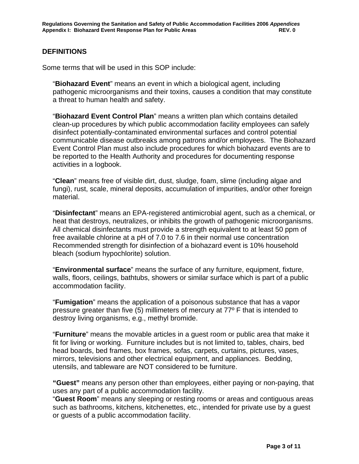#### **DEFINITIONS**

Some terms that will be used in this SOP include:

"**Biohazard Event**" means an event in which a biological agent, including pathogenic microorganisms and their toxins, causes a condition that may constitute a threat to human health and safety.

"**Biohazard Event Control Plan**" means a written plan which contains detailed clean-up procedures by which public accommodation facility employees can safely disinfect potentially-contaminated environmental surfaces and control potential communicable disease outbreaks among patrons and/or employees. The Biohazard Event Control Plan must also include procedures for which biohazard events are to be reported to the Health Authority and procedures for documenting response activities in a logbook.

"**Clean**" means free of visible dirt, dust, sludge, foam, slime (including algae and fungi), rust, scale, mineral deposits, accumulation of impurities, and/or other foreign material.

"**Disinfectant**" means an EPA-registered antimicrobial agent, such as a chemical, or heat that destroys, neutralizes, or inhibits the growth of pathogenic microorganisms. All chemical disinfectants must provide a strength equivalent to at least 50 ppm of free available chlorine at a pH of 7.0 to 7.6 in their normal use concentration Recommended strength for disinfection of a biohazard event is 10% household bleach (sodium hypochlorite) solution.

"**Environmental surface**" means the surface of any furniture, equipment, fixture, walls, floors, ceilings, bathtubs, showers or similar surface which is part of a public accommodation facility.

"**Fumigation**" means the application of a poisonous substance that has a vapor pressure greater than five (5) millimeters of mercury at 77º F that is intended to destroy living organisms, e.g., methyl bromide.

"**Furniture**" means the movable articles in a guest room or public area that make it fit for living or working. Furniture includes but is not limited to, tables, chairs, bed head boards, bed frames, box frames, sofas, carpets, curtains, pictures, vases, mirrors, televisions and other electrical equipment, and appliances. Bedding, utensils, and tableware are NOT considered to be furniture.

**"Guest"** means any person other than employees, either paying or non-paying, that uses any part of a public accommodation facility.

"**Guest Room**" means any sleeping or resting rooms or areas and contiguous areas such as bathrooms, kitchens, kitchenettes, etc., intended for private use by a guest or guests of a public accommodation facility.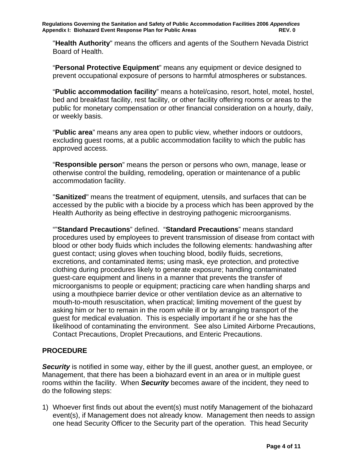"**Health Authority**" means the officers and agents of the Southern Nevada District Board of Health.

"**Personal Protective Equipment**" means any equipment or device designed to prevent occupational exposure of persons to harmful atmospheres or substances.

"**Public accommodation facility**" means a hotel/casino, resort, hotel, motel, hostel, bed and breakfast facility, rest facility, or other facility offering rooms or areas to the public for monetary compensation or other financial consideration on a hourly, daily, or weekly basis.

"**Public area**" means any area open to public view, whether indoors or outdoors, excluding guest rooms, at a public accommodation facility to which the public has approved access.

"**Responsible person**" means the person or persons who own, manage, lease or otherwise control the building, remodeling, operation or maintenance of a public accommodation facility.

"**Sanitized**" means the treatment of equipment, utensils, and surfaces that can be accessed by the public with a biocide by a process which has been approved by the Health Authority as being effective in destroying pathogenic microorganisms.

""**Standard Precautions**" defined. "**Standard Precautions**" means standard procedures used by employees to prevent transmission of disease from contact with blood or other body fluids which includes the following elements: handwashing after guest contact; using gloves when touching blood, bodily fluids, secretions, excretions, and contaminated items; using mask, eye protection, and protective clothing during procedures likely to generate exposure; handling contaminated guest-care equipment and linens in a manner that prevents the transfer of microorganisms to people or equipment; practicing care when handling sharps and using a mouthpiece barrier device or other ventilation device as an alternative to mouth-to-mouth resuscitation, when practical; limiting movement of the guest by asking him or her to remain in the room while ill or by arranging transport of the guest for medical evaluation. This is especially important if he or she has the likelihood of contaminating the environment. See also Limited Airborne Precautions, Contact Precautions, Droplet Precautions, and Enteric Precautions.

#### **PROCEDURE**

**Security** is notified in some way, either by the ill guest, another guest, an employee, or Management, that there has been a biohazard event in an area or in multiple guest rooms within the facility. When *Security* becomes aware of the incident, they need to do the following steps:

1) Whoever first finds out about the event(s) must notify Management of the biohazard event(s), if Management does not already know. Management then needs to assign one head Security Officer to the Security part of the operation. This head Security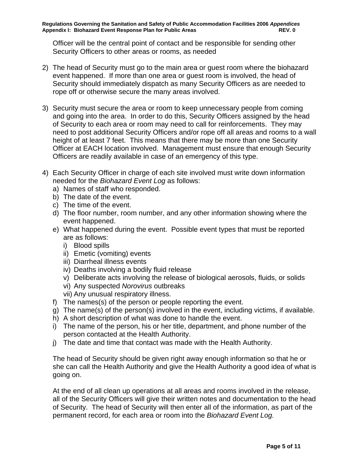Officer will be the central point of contact and be responsible for sending other Security Officers to other areas or rooms, as needed

- 2) The head of Security must go to the main area or guest room where the biohazard event happened. If more than one area or guest room is involved, the head of Security should immediately dispatch as many Security Officers as are needed to rope off or otherwise secure the many areas involved.
- 3) Security must secure the area or room to keep unnecessary people from coming and going into the area. In order to do this, Security Officers assigned by the head of Security to each area or room may need to call for reinforcements. They may need to post additional Security Officers and/or rope off all areas and rooms to a wall height of at least 7 feet. This means that there may be more than one Security Officer at EACH location involved. Management must ensure that enough Security Officers are readily available in case of an emergency of this type.
- 4) Each Security Officer in charge of each site involved must write down information needed for the *Biohazard Event Log* as follows:
	- a) Names of staff who responded.
	- b) The date of the event.
	- c) The time of the event.
	- d) The floor number, room number, and any other information showing where the event happened.
	- e) What happened during the event. Possible event types that must be reported are as follows:
		- i) Blood spills
		- ii) Emetic (vomiting) events
		- iii) Diarrheal illness events
		- iv) Deaths involving a bodily fluid release
		- v) Deliberate acts involving the release of biological aerosols, fluids, or solids
		- vi) Any suspected *Norovirus* outbreaks
		- vii) Any unusual respiratory illness.
	- f) The names(s) of the person or people reporting the event.
	- g) The name(s) of the person(s) involved in the event, including victims, if available.
	- h) A short description of what was done to handle the event.
	- i) The name of the person, his or her title, department, and phone number of the person contacted at the Health Authority.
	- j) The date and time that contact was made with the Health Authority.

The head of Security should be given right away enough information so that he or she can call the Health Authority and give the Health Authority a good idea of what is going on.

At the end of all clean up operations at all areas and rooms involved in the release, all of the Security Officers will give their written notes and documentation to the head of Security. The head of Security will then enter all of the information, as part of the permanent record, for each area or room into the *Biohazard Event Log.*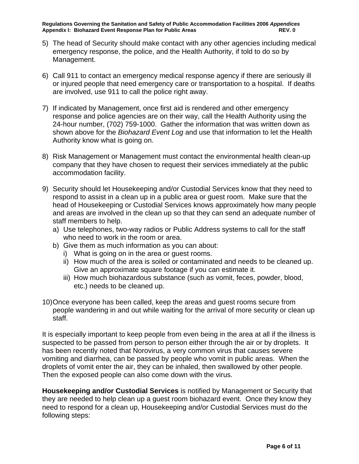**Regulations Governing the Sanitation and Safety of Public Accommodation Facilities 2006** *Appendices* **Appendix I: Biohazard Event Response Plan for Public Areas REV. 0** REV. 0

- 5) The head of Security should make contact with any other agencies including medical emergency response, the police, and the Health Authority, if told to do so by Management.
- 6) Call 911 to contact an emergency medical response agency if there are seriously ill or injured people that need emergency care or transportation to a hospital. If deaths are involved, use 911 to call the police right away.
- 7) If indicated by Management, once first aid is rendered and other emergency response and police agencies are on their way, call the Health Authority using the 24-hour number, (702) 759-1000. Gather the information that was written down as shown above for the *Biohazard Event Log* and use that information to let the Health Authority know what is going on.
- 8) Risk Management or Management must contact the environmental health clean-up company that they have chosen to request their services immediately at the public accommodation facility.
- 9) Security should let Housekeeping and/or Custodial Services know that they need to respond to assist in a clean up in a public area or guest room. Make sure that the head of Housekeeping or Custodial Services knows approximately how many people and areas are involved in the clean up so that they can send an adequate number of staff members to help.
	- a) Use telephones, two-way radios or Public Address systems to call for the staff who need to work in the room or area.
	- b) Give them as much information as you can about:
		- i) What is going on in the area or guest rooms.
		- ii) How much of the area is soiled or contaminated and needs to be cleaned up. Give an approximate square footage if you can estimate it.
		- iii) How much biohazardous substance (such as vomit, feces, powder, blood, etc.) needs to be cleaned up.
- 10) Once everyone has been called, keep the areas and guest rooms secure from people wandering in and out while waiting for the arrival of more security or clean up staff.

It is especially important to keep people from even being in the area at all if the illness is suspected to be passed from person to person either through the air or by droplets. It has been recently noted that Norovirus, a very common virus that causes severe vomiting and diarrhea, can be passed by people who vomit in public areas. When the droplets of vomit enter the air, they can be inhaled, then swallowed by other people. Then the exposed people can also come down with the virus.

**Housekeeping and/or Custodial Services** is notified by Management or Security that they are needed to help clean up a guest room biohazard event. Once they know they need to respond for a clean up, Housekeeping and/or Custodial Services must do the following steps: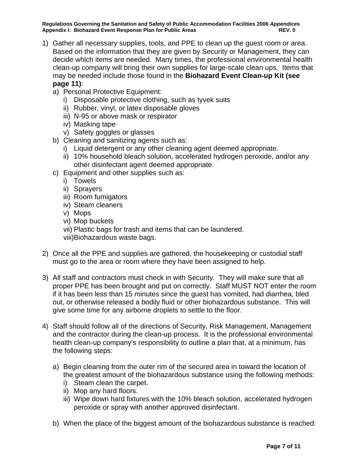**Regulations Governing the Sanitation and Safety of Public Accommodation Facilities 2006** *Appendices* Appendix I: Biohazard Event Response Plan for Public Areas **REV. 0** REV. 0

- 1) Gather all necessary supplies, tools, and PPE to clean up the guest room or area. Based on the information that they are given by Security or Management, they can decide which items are needed. Many times, the professional environmental health clean-up company will bring their own supplies for large-scale clean ups. Items that may be needed include those found in the **Biohazard Event Clean-up Kit (see page 11)**:
	- a) Personal Protective Equipment:
		- i) Disposable protective clothing, such as tyvek suits
		- ii) Rubber, vinyl, or latex disposable gloves
		- iii) N-95 or above mask or respirator
		- iv) Masking tape
		- v) Safety goggles or glasses
	- b) Cleaning and sanitizing agents such as:
		- i) Liquid detergent or any other cleaning agent deemed appropriate.
		- ii) 10% household bleach solution, accelerated hydrogen peroxide, and/or any other disinfectant agent deemed appropriate.
	- c) Equipment and other supplies such as:
		- i) Towels
		- ii) Sprayers
		- iii) Room fumigators
		- iv) Steam cleaners
		- v) Mops
		- vi) Mop buckets
		- vii) Plastic bags for trash and items that can be laundered.
		- viii)Biohazardous waste bags.
- 2) Once all the PPE and supplies are gathered, the housekeeping or custodial staff must go to the area or room where they have been assigned to help.
- 3) All staff and contractors must check in with Security. They will make sure that all proper PPE has been brought and put on correctly. Staff MUST NOT enter the room if it has been less than 15 minutes since the guest has vomited, had diarrhea, bled out, or otherwise released a bodily fluid or other biohazardous substance. This will give some time for any airborne droplets to settle to the floor.
- 4) Staff should follow all of the directions of Security, Risk Management, Management and the contractor during the clean-up process. It is the professional environmental health clean-up company's responsibility to outline a plan that, at a minimum, has the following steps:
	- a) Begin cleaning from the outer rim of the secured area in toward the location of the greatest amount of the biohazardous substance using the following methods:
		- i) Steam clean the carpet.
		- ii) Mop any hard floors.
		- iii) Wipe down hard fixtures with the 10% bleach solution, accelerated hydrogen peroxide or spray with another approved disinfectant.
	- b) When the place of the biggest amount of the biohazardous substance is reached: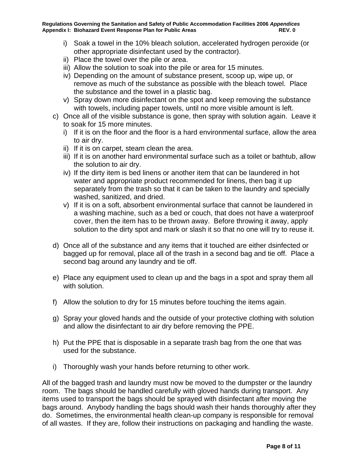- i) Soak a towel in the 10% bleach solution, accelerated hydrogen peroxide (or other appropriate disinfectant used by the contractor).
- ii) Place the towel over the pile or area.
- iii) Allow the solution to soak into the pile or area for 15 minutes.
- iv) Depending on the amount of substance present, scoop up, wipe up, or remove as much of the substance as possible with the bleach towel. Place the substance and the towel in a plastic bag.
- v) Spray down more disinfectant on the spot and keep removing the substance with towels, including paper towels, until no more visible amount is left.
- c) Once all of the visible substance is gone, then spray with solution again. Leave it to soak for 15 more minutes.
	- i) If it is on the floor and the floor is a hard environmental surface, allow the area to air dry.
	- ii) If it is on carpet, steam clean the area.
	- iii) If it is on another hard environmental surface such as a toilet or bathtub, allow the solution to air dry.
	- iv) If the dirty item is bed linens or another item that can be laundered in hot water and appropriate product recommended for linens, then bag it up separately from the trash so that it can be taken to the laundry and specially washed, sanitized, and dried.
	- v) If it is on a soft, absorbent environmental surface that cannot be laundered in a washing machine, such as a bed or couch, that does not have a waterproof cover, then the item has to be thrown away. Before throwing it away, apply solution to the dirty spot and mark or slash it so that no one will try to reuse it.
- d) Once all of the substance and any items that it touched are either dsinfected or bagged up for removal, place all of the trash in a second bag and tie off. Place a second bag around any laundry and tie off.
- e) Place any equipment used to clean up and the bags in a spot and spray them all with solution.
- f) Allow the solution to dry for 15 minutes before touching the items again.
- g) Spray your gloved hands and the outside of your protective clothing with solution and allow the disinfectant to air dry before removing the PPE.
- h) Put the PPE that is disposable in a separate trash bag from the one that was used for the substance.
- i) Thoroughly wash your hands before returning to other work.

All of the bagged trash and laundry must now be moved to the dumpster or the laundry room. The bags should be handled carefully with gloved hands during transport. Any items used to transport the bags should be sprayed with disinfectant after moving the bags around. Anybody handling the bags should wash their hands thoroughly after they do. Sometimes, the environmental health clean-up company is responsible for removal of all wastes. If they are, follow their instructions on packaging and handling the waste.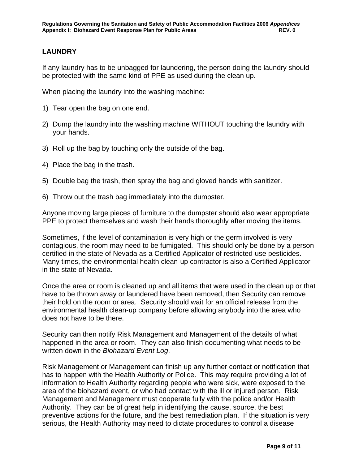#### **LAUNDRY**

If any laundry has to be unbagged for laundering, the person doing the laundry should be protected with the same kind of PPE as used during the clean up.

When placing the laundry into the washing machine:

- 1) Tear open the bag on one end.
- 2) Dump the laundry into the washing machine WITHOUT touching the laundry with your hands.
- 3) Roll up the bag by touching only the outside of the bag.
- 4) Place the bag in the trash.
- 5) Double bag the trash, then spray the bag and gloved hands with sanitizer.
- 6) Throw out the trash bag immediately into the dumpster.

Anyone moving large pieces of furniture to the dumpster should also wear appropriate PPE to protect themselves and wash their hands thoroughly after moving the items.

Sometimes, if the level of contamination is very high or the germ involved is very contagious, the room may need to be fumigated. This should only be done by a person certified in the state of Nevada as a Certified Applicator of restricted-use pesticides. Many times, the environmental health clean-up contractor is also a Certified Applicator in the state of Nevada.

Once the area or room is cleaned up and all items that were used in the clean up or that have to be thrown away or laundered have been removed, then Security can remove their hold on the room or area. Security should wait for an official release from the environmental health clean-up company before allowing anybody into the area who does not have to be there.

Security can then notify Risk Management and Management of the details of what happened in the area or room. They can also finish documenting what needs to be written down in the *Biohazard Event Log*.

Risk Management or Management can finish up any further contact or notification that has to happen with the Health Authority or Police. This may require providing a lot of information to Health Authority regarding people who were sick, were exposed to the area of the biohazard event, or who had contact with the ill or injured person. Risk Management and Management must cooperate fully with the police and/or Health Authority. They can be of great help in identifying the cause, source, the best preventive actions for the future, and the best remediation plan. If the situation is very serious, the Health Authority may need to dictate procedures to control a disease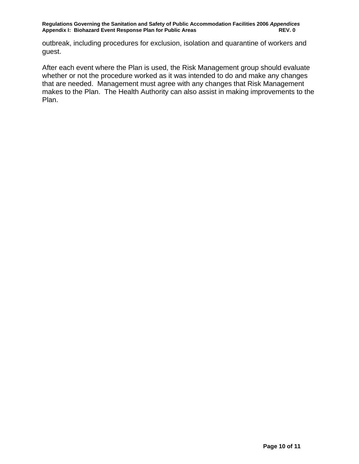outbreak, including procedures for exclusion, isolation and quarantine of workers and guest.

After each event where the Plan is used, the Risk Management group should evaluate whether or not the procedure worked as it was intended to do and make any changes that are needed. Management must agree with any changes that Risk Management makes to the Plan. The Health Authority can also assist in making improvements to the Plan.